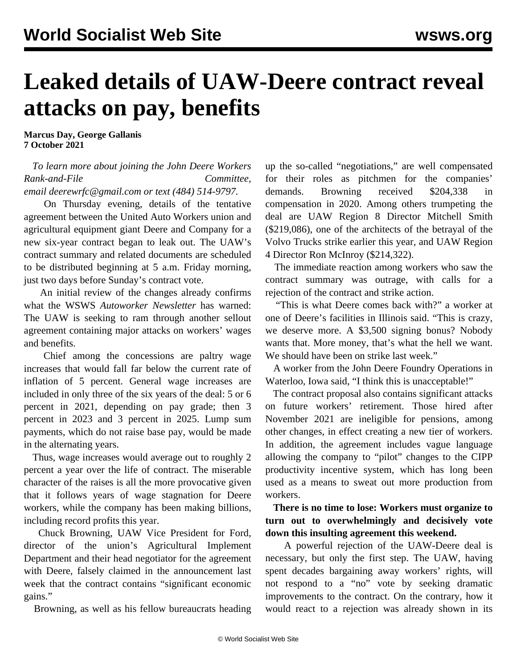## **Leaked details of UAW-Deere contract reveal attacks on pay, benefits**

**Marcus Day, George Gallanis 7 October 2021**

## *To learn more about joining the John Deere Workers Rank-and-File Committee, email [deerewrfc@gmail.com](mailto:deerewrfc@gmail.com) or text (484) 514-9797.*

 On Thursday evening, details of the tentative agreement between the United Auto Workers union and agricultural equipment giant Deere and Company for a new six-year contract began to leak out. The UAW's contract summary and related documents are scheduled to be distributed beginning at 5 a.m. Friday morning, just two days before Sunday's contract vote.

 An initial review of the changes already confirms what the WSWS *Autoworker Newsletter* has warned: The UAW is seeking to ram through another sellout agreement containing major attacks on workers' wages and benefits.

 Chief among the concessions are paltry wage increases that would fall far below the current rate of inflation of 5 percent. General wage increases are included in only three of the six years of the deal: 5 or 6 percent in 2021, depending on pay grade; then 3 percent in 2023 and 3 percent in 2025. Lump sum payments, which do not raise base pay, would be made in the alternating years.

 Thus, wage increases would average out to roughly 2 percent a year over the life of contract. The miserable character of the raises is all the more provocative given that it follows years of wage stagnation for Deere workers, while the company has been making billions, including record profits this year.

 Chuck Browning, UAW Vice President for Ford, director of the union's Agricultural Implement Department and their head negotiator for the agreement with Deere, falsely claimed in the announcement last week that the contract contains "significant economic gains."

Browning, as well as his fellow bureaucrats heading

up the so-called "negotiations," are well compensated for their roles as pitchmen for the companies' demands. Browning received \$204,338 in compensation in 2020. Among others trumpeting the deal are UAW Region 8 Director Mitchell Smith (\$219,086), one of the architects of the betrayal of the Volvo Trucks strike earlier this year, and UAW Region 4 Director Ron McInroy (\$214,322).

 The immediate reaction among workers who saw the contract summary was outrage, with calls for a rejection of the contract and strike action.

 "This is what Deere comes back with?" a worker at one of Deere's facilities in Illinois said. "This is crazy, we deserve more. A \$3,500 signing bonus? Nobody wants that. More money, that's what the hell we want. We should have been on strike last week."

 A worker from the John Deere Foundry Operations in Waterloo, Iowa said, "I think this is unacceptable!"

 The contract proposal also contains significant attacks on future workers' retirement. Those hired after November 2021 are ineligible for pensions, among other changes, in effect creating a new tier of workers. In addition, the agreement includes vague language allowing the company to "pilot" changes to the CIPP productivity incentive system, which has long been used as a means to sweat out more production from workers.

 **There is no time to lose: Workers must organize to turn out to overwhelmingly and decisively vote down this insulting agreement this weekend.**

 A powerful rejection of the UAW-Deere deal is necessary, but only the first step. The UAW, having spent decades bargaining away workers' rights, will not respond to a "no" vote by seeking dramatic improvements to the contract. On the contrary, how it would react to a rejection was already shown in its